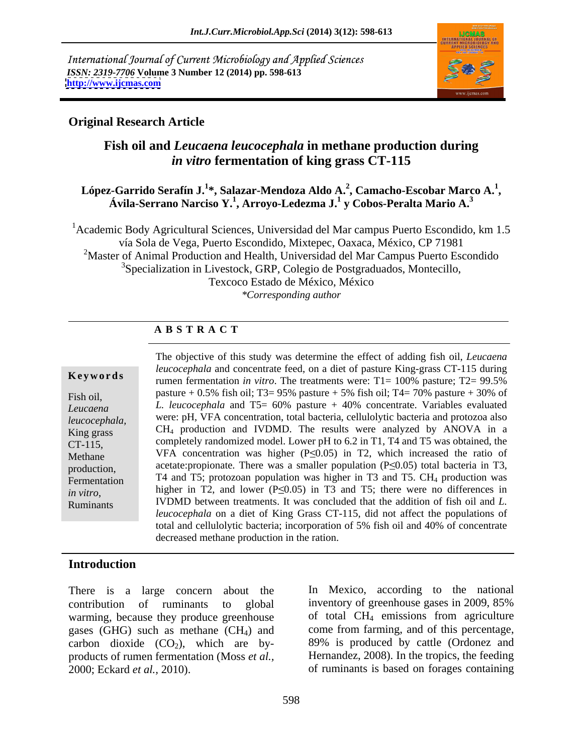International Journal of Current Microbiology and Applied Sciences *ISSN: 2319-7706* **Volume 3 Number 12 (2014) pp. 598-613 <http://www.ijcmas.com>**



## **Original Research Article**

# **Fish oil and** *Leucaena leucocephala* **in methane production during**  *in vitro* **fermentation of king grass CT-115**

### **López-Garrido Serafín J.<sup>1</sup> \*, Salazar-Mendoza Aldo A.<sup>2</sup> , Camacho-Escobar Marco A.<sup>1</sup>** <sup>z</sup>-Garrido Serafín J.<sup>1</sup>\*, Salazar-Mendoza Aldo A.<sup>2</sup>, Camacho-Escobar Marco A.<sup>1</sup>,<br>Ávila-Serrano Narciso Y.<sup>1</sup>, Arroyo-Ledezma J.<sup>1</sup> y Cobos-Peralta Mario A.<sup>3</sup>

1Academic Body Agricultural Sciences, Universidad del Mar campus Puerto Escondido, km 1.5 vía Sola de Vega, Puerto Escondido, Mixtepec, Oaxaca, México, CP 71981 <sup>2</sup>Master of Animal Production and Health, Universidad del Mar Campus Puerto Escondido <sup>3</sup>Specialization in Livestock, GRP, Colegio de Postgraduados, Montecillo, Texcoco Estado de México, México *\*Corresponding author*

# **A B S T R A C T**

**Keywords**rumen fermentation *in vitro*. The treatments were: T1= 100% pasture; T2= 99.5% Fish oil,  $\frac{\text{p}}{\text{s}} = 0.5\%$  fish oil; T3= 95% pasture + 5% fish oil; T4= 70% pasture + 30% of *Leucaena L. leucocephala* and T5= 60% pasture + 40% concentrate. Variables evaluated *leucocephala*, were: pH, VFA concentration, total bacteria, cellulolytic bacteria and protozoa also  $King grass$  CH<sub>4</sub> production and IVDMD. The results were analyzed by ANOVA in a CT-115, completely randomized model. Lower pH to 6.2 in T1, T4 and T5 was obtained, the Methane VFA concentration was higher  $(P \le 0.05)$  in T2, which increased the ratio of production, acetate:propionate. There was a smaller population  $(P \le 0.05)$  total bacteria in T3, Fermentation  $\begin{bmatrix} 1 \end{bmatrix}$  T4 and T5; protozoan population was higher in T3 and T5. CH<sub>4</sub> production was *in vitro*, higher in 12, and lower (PS0.05) in 13 and 15; there were no differences in<br>Ruminants IVDMD between treatments. It was concluded that the addition of fish oil and *L*. The objective of this study was determine the effect of adding fish oil, *Leucaena leucocephala* and concentrate feed, on a diet of pasture King-grass CT-115 during higher in T2, and lower ( $P \le 0.05$ ) in T3 and T5; there were no differences in *leucocephala* on a diet of King Grass CT-115, did not affect the populations of total and cellulolytic bacteria; incorporation of 5% fish oil and 40% of concentrate decreased methane production in the ration.

## **Introduction**

There is a large concern about the contribution of ruminants to global inventory of greenhouse gases in 2009, 85% warming, because they produce greenhouse gases (GHG) such as methane  $(CH<sub>4</sub>)$  and carbon dioxide  $(CO<sub>2</sub>)$ , which are byproducts of rumen fermentation (Moss *et al.,* 2000; Eckard *et al.,* 2010). of ruminants is based on forages containing

In Mexico, according to the national inventory of greenhouse gases in 2009, 85% of total CH4 emissions from agriculture come from farming, and of this percentage, 89% is produced by cattle (Ordonez and Hernandez, 2008). In the tropics, the feeding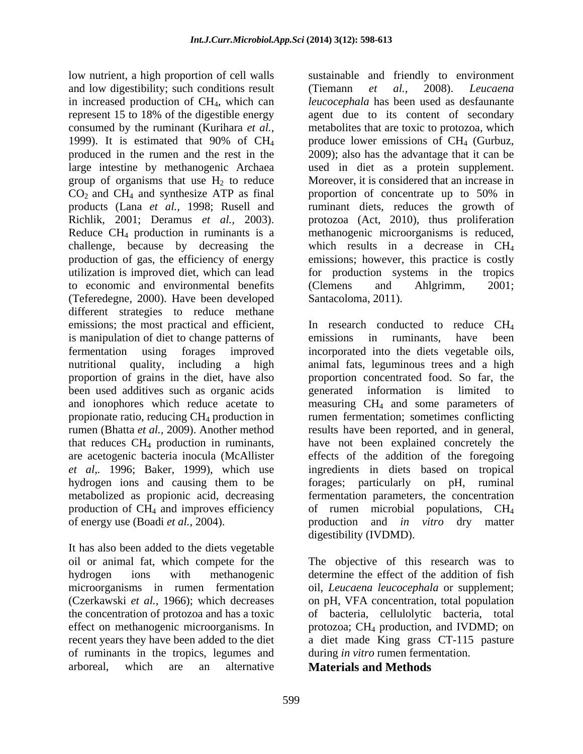low nutrient, a high proportion of cell walls sustainable and friendly to environment and low digestibility; such conditions result (Tiemann et al., 2008). Leucaena in increased production of CH4, which can represent 15 to 18% of the digestible energy agent due to its content of secondary consumed by the ruminant (Kurihara *et al.,* metabolites that are toxic to protozoa, which 1999). It is estimated that 90% of  $CH_4$  produce lower emissions of  $CH_4$  (Gurbuz, produced in the rumen and the rest in the 2009); also has the advantage that it can be large intestine by methanogenic Archaea used in diet as a protein supplement. group of organisms that use  $H_2$  to reduce Moreover, it is considered that an increase in  $CO<sub>2</sub>$  and CH<sub>4</sub> and synthesize ATP as final proportion of concentrate up to 50% in products (Lana *et al.,* 1998; Rusell and ruminant diets, reduces the growth of Richlik, 2001; Deramus *et al.,* 2003). protozoa (Act, 2010), thus proliferation Reduce CH4 production in ruminants is a methanogenic microorganisms is reduced, challenge, because by decreasing the which results in a decrease in CH4 production of gas, the efficiency of energy utilization is improved diet, which can lead for production systems in the tropics to economic and environmental benefits (Clemens and Ahlgrimm, 2001; (Teferedegne, 2000). Have been developed different strategies to reduce methane emissions; the most practical and efficient, is manipulation of diet to change patterns of emissions in ruminants, have been been used additives such as organic acids

It has also been added to the diets vegetable recent years they have been added to the diet of ruminants in the tropics, legumes and arboreal, which are an alternative **Materials and Methods** 

(Tiemann *et al.,* 2008). *Leucaena leucocephala* has been used as desfaunante produce lower emissions of  $CH<sub>4</sub>$  (Gurbuz, used in diet as <sup>a</sup> protein supplement.Moreover, it is considered that an increase in proportion of concentrate up to 50% in emissions; however, this practice is costly (Clemens and Ahlgrimm, 2001; Santacoloma, 2011).

fermentation using forages improved incorporated into the diets vegetable oils, nutritional quality, including a high animal fats, leguminous trees and a high proportion of grains in the diet, have also proportion concentrated food. So far, the and ionophores which reduce acetate to measuring CH4 and some parameters of propionate ratio, reducing CH4 production in rumen fermentation; sometimes conflicting rumen (Bhatta *et al.,* 2009). Another method results have been reported, and in general, that reduces CH4 production in ruminants, have not been explained concretely the are acetogenic bacteria inocula (McAllister effects of the addition of the foregoing *et al,.* 1996; Baker, 1999), which use ingredients in diets based on tropical hydrogen ions and causing them to be forages; particularly on pH, ruminal metabolized as propionic acid, decreasing fermentation parameters, the concentration production of CH4 and improves efficiency of rumen microbial populations, CH4 of energy use (Boadi *et al.,* 2004). production and *in vitro* dry matter In research conducted to reduce CH<sub>4</sub> emissions in ruminants, have been generated information is digestibility (IVDMD).

oil or animal fat, which compete for the The objective of this research was to hydrogen ions with methanogenic determine the effect of the addition of fish microorganisms in rumen fermentation oil, *Leucaena leucocephala* or supplement; (Czerkawski *et al.,* 1966); which decreases on pH, VFA concentration, total population the concentration of protozoa and has a toxic of bacteria, cellulolytic bacteria, total effect on methanogenic microorganisms. In protozoa; CH<sub>4</sub> production, and IVDMD; on a diet made King grass CT-115 pasture during *in vitro* rumen fermentation.

**Materials and Methods**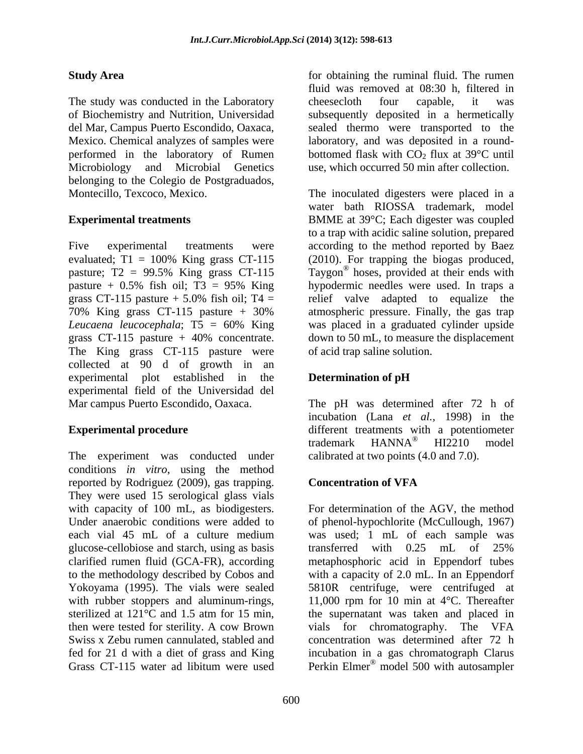The study was conducted in the Laboratory cheesecloth four capable, it was Mexico. Chemical analyzes of samples were Microbiology and Microbial Genetics use, which occurred 50 min after collection. belonging to the Colegio de Postgraduados,

Five experimental treatments were according to the method reported by Baez evaluated; T1 = 100% King grass CT-115 (2010). For trapping the biogas produced, pasture; T2 = 99.5% King grass CT-115 Taygon<sup>®</sup> hoses, provided at their ends with pasture + 0.5% fish oil; T3 = 95% King grass CT-115 pasture  $+$  5.0% fish oil; T4 = relief valve adapted to equalize the 70% King grass CT-115 pasture + 30% *Leucaena leucocephala*; T5 = 60% King was placed in a graduated cylinder upside grass CT-115 pasture + 40% concentrate. down to 50 mL, to measure the displacement The King grass CT-115 pasture were collected at 90 d of growth in an experimental plot established in the experimental field of the Universidad del Mar campus Puerto Escondido, Oaxaca. The pH was determined after 72 h of

The experiment was conducted under conditions *in vitro*, using the method reported by Rodriguez (2009), gas trapping. They were used 15 serological glass vials with capacity of 100 mL, as biodigesters. glucose-cellobiose and starch, using as basis transferred with 0.25 mL of 25% Yokoyama (1995). The vials were sealed then were tested for sterility. A cow Brown Grass CT-115 water ad libitum were used Perkin Elmer<sup>®</sup> model 500 with autosampler

**Study Area** *for obtaining the ruminal fluid.* **The rumen** of Biochemistry and Nutrition, Universidad subsequently deposited in a hermetically del Mar, Campus Puerto Escondido, Oaxaca, sealed thermo were transported to the performed in the laboratory of Rumen bottomed flask with  $CO_2$  flux at 39 $\degree$ C until fluid was removed at 08:30 h, filtered in cheesecloth four capable, it was laboratory, and was deposited in a round-

Montecillo, Texcoco, Mexico. The inoculated digesters were placed in a **Experimental treatments**  BMME at 39°C; Each digester was coupled water bath RIOSSA trademark, model to a trap with acidic saline solution, prepared hypodermic needles were used. In traps a atmospheric pressure. Finally, the gas trap of acid trap saline solution.

## **Determination of pH**

**Experimental procedure Experimental procedure experiments** with a potentiometer incubation (Lana *et al.,* 1998) in the trademark HANNA<sup>®</sup> HI2210 model HI2210 model calibrated at two points (4.0 and 7.0).

## **Concentration of VFA**

Under anaerobic conditions were added to of phenol-hypochlorite (McCullough, 1967) each vial 45 mL of a culture medium was used; 1 mL of each sample was clarified rumen fluid (GCA-FR), according metaphosphoric acid in Eppendorf tubes to the methodology described by Cobos and with a capacity of 2.0 mL. In an Eppendorf with rubber stoppers and aluminum-rings, 11,000 rpm for 10 min at 4 °C. Thereafter sterilized at 121°C and 1.5 atm for 15 min, the supernatant was taken and placed in Swiss x Zebu rumen cannulated, stabled and concentration was determined after 72 h fed for 21 d with a diet of grass and King incubation in a gas chromatograph Clarus For determination of the AGV, the method was used; 1 mL of each sample was transferred with 0.25 mL of 25% 5810R centrifuge, were centrifuged at vials for chromatography. The VFA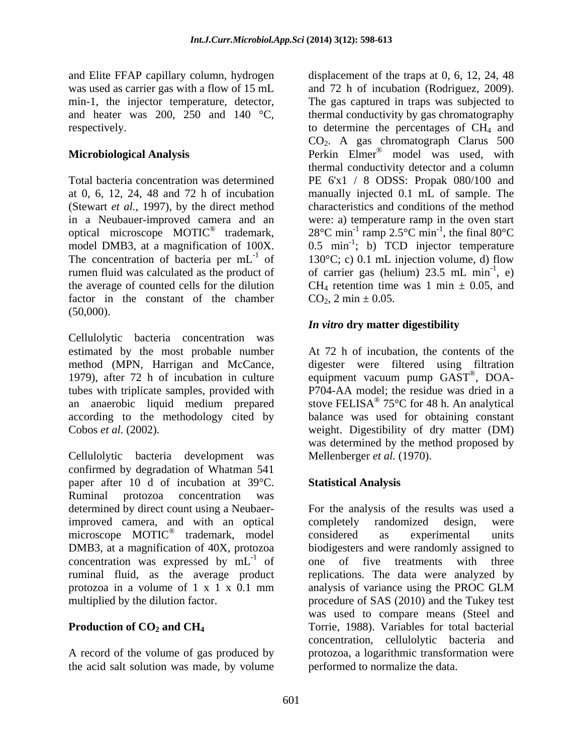and Elite FFAP capillary column, hydrogen displacement of the traps at 0, 6, 12, 24, 48 was used as carrier gas with a flow of 15 mL

in a Neubauer-improved camera and an optical microscope MOTIC<sup>®</sup> trademark, factor in the constant of the chamber  $(50,000)$ .

Cellulolytic bacteria concentration was method (MPN, Harrigan and McCance,

Cellulolytic bacteria development was confirmed by degradation of Whatman 541 paper after 10 d of incubation at 39°C. Ruminal protozoa concentration was improved camera, and with an optical completely randomized design, were concentration was expressed by  $mL^{-1}$  of protozoa in a volume of 1 x 1 x 0.1 mm analysis of variance using the PROC GLM

the acid salt solution was made, by volume

min-1, the injector temperature, detector, The gas captured in traps was subjected to and heater was 200, 250 and 140  $\degree$ C, thermal conductivity by gas chromatography respectively. to determine the percentages of CH4 and **Microbiological Analysis**  Perkin Elmer® model was used, with Total bacteria concentration was determined PE 6'x1 / 8 ODSS: Propak 080/100 and at 0, 6, 12, 24, 48 and 72 h of incubation manually injected 0.1 mL of sample. The (Stewart *et al.,* 1997), by the direct method characteristics and conditions of the method optical microscope MOTIC<sup>®</sup> trademark,  $28^{\circ}$ C min<sup>-1</sup> ramp 2.5°C min<sup>-1</sup>, the final 80°C model DMB3, at a magnification of  $100X$ .  $0.5 \text{ min}^{-1}$ ; b) TCD injector temperature The concentration of bacteria per  $mL^{-1}$  of 130°C; c) 0.1 mL injection volume, d) flow rumen fluid was calculated as the product of  $\qquad$  of carrier gas (helium) 23.5 mL min<sup>-1</sup>, e) the average of counted cells for the dilution  $CH_4$  retention time was 1 min  $\pm$  0.05, and and 72 h of incubation (Rodriguez, 2009). CO2. A gas chromatograph Clarus 500 thermal conductivity detector and a column were: a) temperature ramp in the oven start  $^{-1}$  the final  $0.00C$ , the final  $80^{\circ}$ C ; b) TCD injector temperature  $^{-1}$   $\Omega$ , e)  $CO_2$ , 2 min  $\pm$  0.05.

## *In vitro* **dry matter digestibility**

estimated by the most probable number At 72 h of incubation, the contents of the 1979), after 72 h of incubation in culture equipment vacuum pump GAST®, DOAtubes with triplicate samples, provided with P704-AA model; the residue was dried in a an anaerobic liquid medium prepared stove FELISA® 75°C for 48 h. An analytical according to the methodology cited by balance was used for obtaining constant Cobos *et al.* (2002). **Exercise 2** weight. Digestibility of dry matter (DM) digester were filtered using filtration , DOA- 75°C for 48 h. An analytical was determined by the method proposed by Mellenberger *et al.* (1970).

### **Statistical Analysis**

determined by direct count using a Neubaer-<br>For the analysis of the results was used a microscope MOTIC<sup>®</sup> trademark, model considered as experimental units DMB3, at a magnification of 40X, protozoa biodigesters and were randomly assigned to  $^{-1}$  of one of five treatments with three ruminal fluid, as the average product replications. The data were analyzed by multiplied by the dilution factor. procedure of SAS (2010) and the Tukey test **Production of CO<sub>2</sub> and CH<sub>4</sub>** Torrie, 1988). Variables for total bacterial A record of the volume of gas produced by protozoa, a logarithmic transformation were completely randomized design, were considered as experimental units analysis of variance using the PROC GLM was used to compare means (Steel and concentration, cellulolytic bacteria and performed to normalize the data.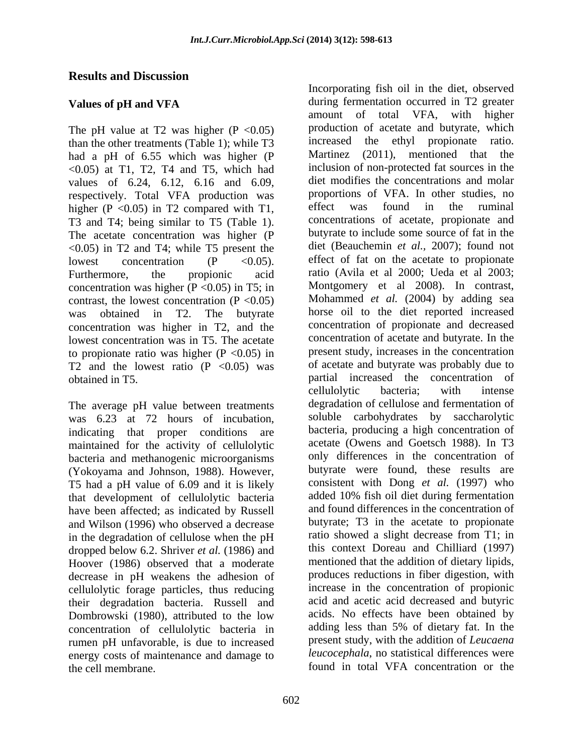## **Results and Discussion**

The pH value at T2 was higher  $(P \le 0.05)$ than the other treatments (Table 1); while T3 increased the ethyl propionate ratio.<br>had a pH of 6.55 which was higher (P Martinez (2011), mentioned that the had a pH of 6.55 which was higher (P  $<$ 0.05) at T1, T2, T4 and T5, which had values of 6.24, 6.12, 6.16 and 6.09, respectively. Total VFA production was proportions of VFA. In other studies, no<br>higher  $(P \le 0.05)$  in T2 compared with T1 effect was found in the ruminal higher ( $P \le 0.05$ ) in T2 compared with T1, T3 and T4; being similar to T5 (Table 1). The acetate concentration was higher (P  $\langle 0.05 \rangle$  in T2 and T4; while T5 present the concentration was higher ( $P \le 0.05$ ) in T5; in contrast, the lowest concentration  $(P \le 0.05)$ concentration was higher in T2, and the lowest concentration was in T5. The acetate to propionate ratio was higher  $(P \le 0.05)$  in T2 and the lowest ratio  $(P \le 0.05)$  was

The average pH value between treatments was 6.23 at 72 hours of incubation, indicating that proper conditions are maintained for the activity of cellulolytic bacteria and methanogenic microorganisms (Yokoyama and Johnson, 1988). However, T5 had a pH value of 6.09 and it is likely that development of cellulolytic bacteria have been affected; as indicated by Russell and Wilson (1996) who observed a decrease in the degradation of cellulose when the pH dropped below 6.2. Shriver *et al.* (1986) and Hoover (1986) observed that a moderate decrease in pH weakens the adhesion of cellulolytic forage particles, thus reducing their degradation bacteria. Russell and Dombrowski (1980), attributed to the low concentration of cellulolytic bacteria in rumen pH unfavorable, is due to increased energy costs of maintenance and damage to the cell membrane. found in total VFA concentration or the

**Values of pH and VFA** during fermentation occurred in T2 greater lowest concentration  $(P \leq 0.05)$ . effect of fat on the acetate to propionate Furthermore, the propionic acid ratio (Avila et al 2000; Ueda et al 2003; was obtained in T2. The butyrate horse oil to the diet reported increased obtained in T5. partial increased the concentration of Incorporating fish oil in the diet, observed amount of total VFA, with higher production of acetate and butyrate, which increased the ethyl propionate ratio. Martinez  $(2011)$ , mentioned that inclusion of non-protected fat sources in the diet modifies the concentrations and molar proportions of VFA. In other studies, no effect was found in the ruminal concentrations of acetate, propionate and butyrate to include some source of fat in the diet (Beauchemin *et al.,* 2007); found not Montgomery et al 2008). In contrast, Mohammed *et al.* (2004) by adding sea concentration of propionate and decreased concentration of acetate and butyrate. In the present study, increases in the concentration of acetate and butyrate was probably due to cellulolytic bacteria; with intense degradation of cellulose and fermentation of soluble carbohydrates by saccharolytic bacteria, producing a high concentration of acetate (Owens and Goetsch 1988). In T3 only differences in the concentration of butyrate were found, these results are consistent with Dong *et al.* (1997) who added 10% fish oil diet during fermentation and found differences in the concentration of butyrate; T3 in the acetate to propionate ratio showed a slight decrease from T1; in this context Doreau and Chilliard (1997) mentioned that the addition of dietary lipids, produces reductions in fiber digestion, with increase in the concentration of propionic acid and acetic acid decreased and butyric acids. No effects have been obtained by adding less than 5% of dietary fat. In the present study, with the addition of *Leucaena leucocephala*, no statistical differences were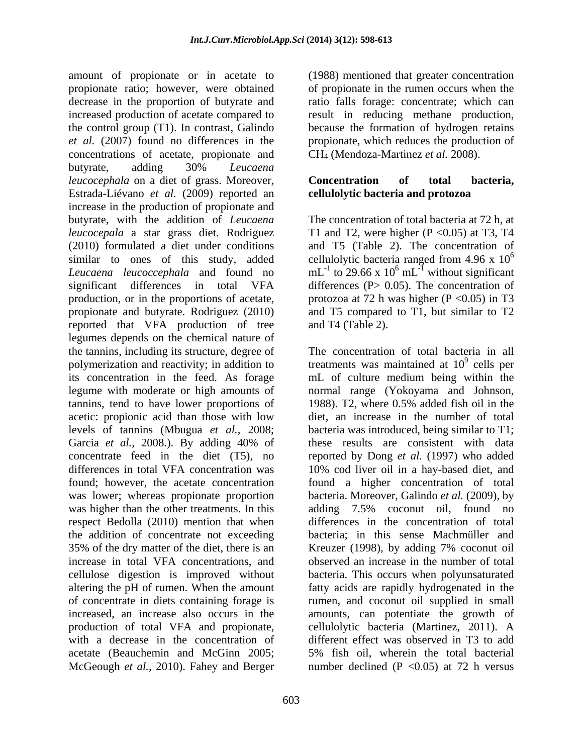amount of propionate or in acetate to (1988) mentioned that greater concentration propionate ratio; however, were obtained of propionate in the rumen occurs when the decrease in the proportion of butyrate and ratio falls forage: concentrate; which can increased production of acetate compared to result in reducing methane production, the control group (T1). In contrast, Galindo because the formation of hydrogen retains *et al.* (2007) found no differences in the propionate, which reduces the production of concentrations of acetate, propionate and butyrate, adding 30% *Leucaena leucocephala* on a diet of grass. Moreover, **Concentration** of total bacteria, Estrada-Liévano *et al.* (2009) reported an increase in the production of propionate and butyrate, with the addition of *Leucaena leucocepala* a star grass diet. Rodriguez T1 and T2, were higher (P < 0.05) at T3, T4 (2010) formulated a diet under conditions and T5 (Table 2). The concentration of similar to ones of this study, added cellulolytic bacteria ranged from 4.96 x  $10^6$ *Leucaena leucoccephala* and found no  $mL^{-1}$  to 29.66 x 10<sup>6</sup> mL<sup>-1</sup> without significant significant differences in total VFA differences (P> 0.05). The concentration of production, or in the proportions of acetate, propionate and butyrate. Rodriguez (2010) and T5 compared to T1, but similar to T2 reported that VFA production of tree legumes depends on the chemical nature of the tannins, including its structure, degree of The concentration of total bacteria in all polymerization and reactivity; in addition to its concentration in the feed. As forage mL of culture medium being within the legume with moderate or high amounts of normal range (Yokoyama and Johnson, tannins, tend to have lower proportions of 1988). T2, where 0.5% added fish oil in the acetic: propionic acid than those with low diet, an increase in the number of total levels of tannins (Mbugua *et al.,* 2008; bacteria was introduced, being similar to T1; Garcia *et al.,* 2008.). By adding 40% of concentrate feed in the diet (T5), no reported by Dong *et al.* (1997) who added differences in total VFA concentration was 10% cod liver oil in a hay-based diet, and found; however, the acetate concentration found a higher concentration of total was lower; whereas propionate proportion was higher than the other treatments. In this adding 7.5% coconut oil, found no respect Bedolla (2010) mention that when the addition of concentrate not exceeding bacteria; in this sense Machmüller and 35% of the dry matter of the diet, there is an Kreuzer (1998), by adding 7% coconut oil increase in total VFA concentrations, and observed an increase in the number of total cellulose digestion is improved without bacteria. This occurs when polyunsaturated altering the pH of rumen. When the amount fatty acids are rapidly hydrogenated in the of concentrate in diets containing forage is rumen, and coconut oil supplied in small increased, an increase also occurs in the amounts, can potentiate the growth of production of total VFA and propionate, cellulolytic bacteria (Martinez, 2011). A with a decrease in the concentration of different effect was observed in T3 to add acetate (Beauchemin and McGinn 2005; McGeough *et al.,* 2010). Fahey and Berger

CH4 (Mendoza-Martinez *et al.* 2008).

### **Concentration of total bacteria, cellulolytic bacteria and protozoa**

The concentration of total bacteria at 72 h, at 6  $^6$  mL<sup>-1</sup> without significant protozoa at 72 h was higher ( $P \le 0.05$ ) in T3 and T4 (Table 2).

treatments was maintained at  $10^9$  cells per  $9$  ealls not cells per 1988). T2, where 0.5% added fish oil in the these results are consistent with data bacteria. Moreover, Galindo *et al.* (2009), by adding 7.5% coconut oil, found no differences in the concentration of total 5% fish oil, wherein the total bacterial number declined (P  $\langle 0.05 \rangle$  at 72 h versus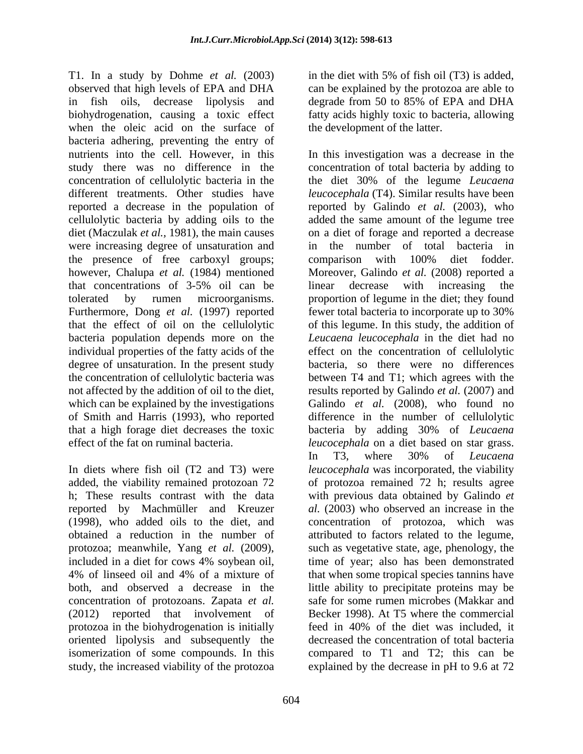T1. In a study by Dohme *et al.* (2003) observed that high levels of EPA and DHA in fish oils, decrease lipolysis and degrade from 50 to 85% of EPA and DHA biohydrogenation, causing a toxic effect when the oleic acid on the surface of bacteria adhering, preventing the entry of were increasing degree of unsaturation and the presence of free carboxyl groups; comparison with 100% diet fodder. degree of unsaturation. In the present study that a high forage diet decreases the toxic bacteria by adding 30% of Leucaena

h; These results contrast with the data protozoa; meanwhile, Yang *et al.* (2009), concentration of protozoans. Zapata *et al.* (2012) reported that involvement of protozoa in the biohydrogenation is initially

in the diet with 5% of fish oil (T3) is added, can be explained by the protozoa are able to fatty acids highly toxic to bacteria, allowing the development of the latter.

nutrients into the cell. However, in this In this investigation was a decrease in the study there was no difference in the concentration of total bacteria by adding to concentration of cellulolytic bacteria in the the diet 30% of the legume *Leucaena* different treatments. Other studies have *leucocephala* (T4). Similar results have been reported a decrease in the population of reported by Galindo *et al.* (2003), who cellulolytic bacteria by adding oils to the added the same amount of the legume tree diet (Maczulak *et al.,* 1981), the main causes on a diet of forage and reported a decrease however, Chalupa *et al.* (1984) mentioned Moreover, Galindo *et al.* (2008) reported a that concentrations of 3-5% oil can be tolerated by rumen microorganisms. proportion of legume in the diet; they found Furthermore, Dong *et al.* (1997) reported fewer total bacteria to incorporate up to 30% that the effect of oil on the cellulolytic of this legume. In this study, the addition of bacteria population depends more on the *Leucaena leucocephala* in the diet had no individual properties of the fatty acids of the effect on the concentration of cellulolytic the concentration of cellulolytic bacteria was between T4 and T1; which agrees with the not affected by the addition of oil to the diet, results reported by Galindo *et al.* (2007) and which can be explained by the investigations Galindo *et al.* (2008), who found no of Smith and Harris (1993), who reported difference in the number of cellulolytic effect of the fat on ruminal bacteria. *leucocephala* on a diet based on star grass. In diets where fish oil (T2 and T3) were *leucocephala* was incorporated, the viability added, the viability remained protozoan 72 of protozoa remained 72 h; results agree reported by Machmüller and Kreuzer *al.* (2003) who observed an increase in the (1998), who added oils to the diet, and concentration of protozoa, which was obtained a reduction in the number of attributed to factors related to the legume, included in a diet for cows 4% soybean oil, 4% of linseed oil and 4% of a mixture of that when some tropical species tannins have both, and observed a decrease in the little ability to precipitate proteins may be oriented lipolysis and subsequently the decreased the concentration of total bacteria isomerization of some compounds. In this compared to T1 and T2; this can be study, the increased viability of the protozoa explained by the decrease in pH to 9.6 at 72the number of total bacteria in comparison with 100% diet fodder. linear decrease with increasing the bacteria, so there were no differences bacteria by adding 30% of *Leucaena* In T3, where 30% of *Leucaena* with previous data obtained by Galindo *et*  such as vegetative state, age, phenology, the time of year; also has been demonstrated safe for some rumen microbes (Makkar and Becker 1998). At T5 where the commercial feed in 40% of the diet was included, it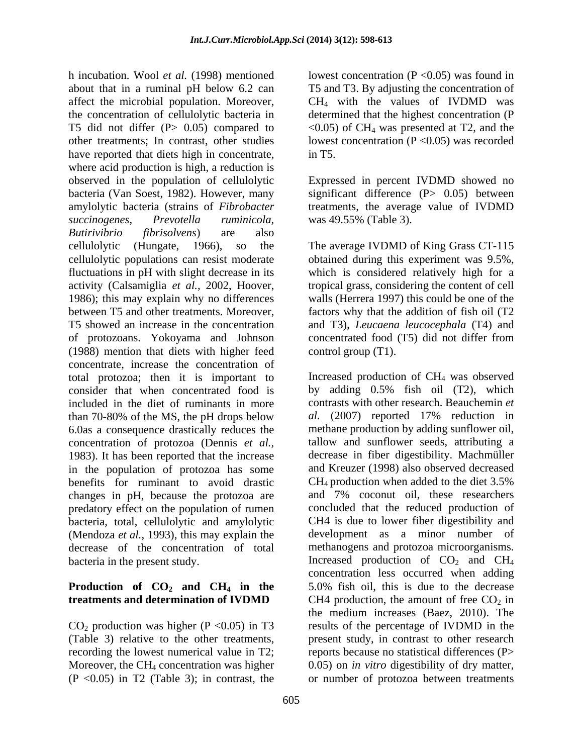h incubation. Wool *et al.* (1998) mentioned lowest concentration (P <0.05) was found in about that in a ruminal pH below 6.2 can T5 and T3. By adjusting the concentration of affect the microbial population. Moreover, the concentration of cellulolytic bacteria in determined that the highest concentration (P T5 did not differ (P $> 0.05$ ) compared to  $\langle 0.05 \rangle$  of CH<sub>4</sub> was presented at T2, and the other treatments; In contrast, other studies lowest concentration (P <0.05) was recorded have reported that diets high in concentrate, in T5. where acid production is high, a reduction is observed in the population of cellulolytic Expressed in percent IVDMD showed no bacteria (Van Soest, 1982). However, many significant difference (P> 0.05) between amylolytic bacteria (strains of *Fibrobacter* treatments, the average value of IVDMD *succinogenes, Prevotella ruminicola, Butirivibrio fibrisolvens*) are also cellulolytic (Hungate, 1966), so the The average IVDMD of King Grass CT-115 cellulolytic populations can resist moderate obtained during this experiment was 9.5%, fluctuations in pH with slight decrease in its which is considered relatively high for a activity (Calsamiglia *et al.,* 2002, Hoover, tropical grass, considering the content of cell 1986); this may explain why no differences between T5 and other treatments. Moreover, factors why that the addition of fish oil (T2 T5 showed an increase in the concentration and T3), *Leucaena leucocephala* (T4) and of protozoans. Yokoyama and Johnson concentrated food (T5) did not differ from (1988) mention that diets with higher feed concentrate, increase the concentration of total protozoa; then it is important to let the production of  $CH_4$  was observed consider that when concentrated food is by adding 0.5% fish oil (T2), which consider that when concentrated food is included in the diet of ruminants in more<br>than 70-80% of the MS, the pH drops below al. (2007) reported 17% reduction in than  $70-80\%$  of the MS, the pH drops below 6.0as a consequence drastically reduces the concentration of protozoa (Dennis *et al.,* 1983). It has been reported that the increase in the population of protozoa has some and Kreuzer (1998) also observed decreased<br>benefits for ruminant to avoid drastic CH<sub>4</sub> production when added to the diet 3.5% benefits for ruminant to avoid drastic  $CH_4$  production when added to the diet 3.5% changes in pH because the protozoa are and 7% coconut oil, these researchers changes in pH, because the protozoa are predatory effect on the population of rumen bacteria, total, cellulolytic and amylolytic (Mendoza *et al.,* 1993), this may explain the decrease of the concentration of total

 $CO<sub>2</sub>$  production was higher (P < 0.05) in T3 (Table 3) relative to the other treatments, (P <0.05) in T2 (Table 3); in contrast, the or number of protozoa between treatments

CH4 with the values of IVDMD was in T5.

was 49.55% (Table 3).

obtained during this experiment was 9.5%,<br>which is considered relatively high for a walls (Herrera 1997) this could be one of the control group (T1).

bacteria in the present study.  $I_1$  Increased production of  $CO_2$  and  $CH_4$ **Production of CO<sub>2</sub> and CH<sub>4</sub> in the** 5.0% fish oil, this is due to the decrease **treatments and determination of IVDMD** CH4 production, the amount of free  $CO<sub>2</sub>$  in (Table 3) relative to the other treatments, present study, in contrast to other research recording the lowest numerical value in T2; eports because no statistical differences (P> Moreover, the CH<sub>4</sub> concentration was higher  $0.05$  on *in vitro* digestibility of dry matter, Increased production of CH4 was observed by adding 0.5% fish oil (T2), which contrasts with other research. Beauchemin *et al.* (2007) reported 17% reduction in methane production by adding sunflower oil, tallow and sunflower seeds, attributing a decrease in fiber digestibility. Machmüller and Kreuzer (1998) also observed decreased  $CH_4$  production when added to the diet 3.5% and 7% coconut oil, these researchers concluded that the reduced production of CH4 is due to lower fiber digestibility and development as a minor number of methanogens and protozoa microorganisms. concentration less occurred when adding the medium increases (Baez, 2010). The results of the percentage of IVDMD in the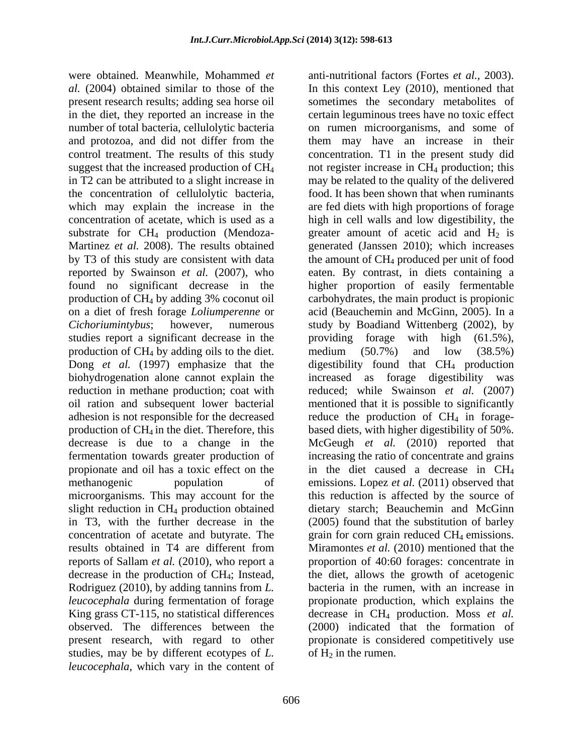the concentration of cellulolytic bacteria, studies report a significant decrease in the providing forage with high (61.5%), production of CH<sub>4</sub> by adding oils to the diet. medium  $(50.7%)$  and low  $(38.5%)$ <br>Dong *et al.* (1997) emphasize that the digestibility found that CH<sub>4</sub> production biohydrogenation alone cannot explain the increased as forage digestibility was reduction in methane production; coat with results obtained in T4 are different from Rodriguez (2010), by adding tannins from *L.*  studies, may be by different ecotypes of *L. leucocephala*, which vary in the content of

were obtained. Meanwhile, Mohammed *et*  anti-nutritional factors (Fortes *et al.,* 2003). *al.* (2004) obtained similar to those of the In this context Ley (2010), mentioned that present research results; adding sea horse oil sometimes the secondary metabolites of in the diet, they reported an increase in the certain leguminous trees have no toxic effect number of total bacteria, cellulolytic bacteria on rumen microorganisms, and some of and protozoa, and did not differ from the them may have an increase in their control treatment. The results of this study concentration. T1 in the present study did suggest that the increased production of  $CH_4$  not register increase in  $CH_4$  production; this in T2 can be attributed to a slight increase in may be related to the quality of the delivered which may explain the increase in the are fed diets with high proportions of forage concentration of acetate, which is used as a light in cell walls and low digestibility, the substrate for  $CH_4$  production (Mendoza- greater amount of acetic acid and  $H_2$  is Martinez *et al.* 2008). The results obtained generated (Janssen 2010); which increases by T3 of this study are consistent with data the amount of CH<sub>4</sub> produced per unit of food reported by Swainson *et al.* (2007), who eaten. By contrast, in diets containing a found no significant decrease in the higher proportion of easily fermentable production of CH4 by adding 3% coconut oil carbohydrates, the main product is propionic on a diet of fresh forage *Loliumperenne* or acid (Beauchemin and McGinn, 2005). In a *Cichoriumintybus*; however, numerous study by Boadiand Wittenberg (2002), by Dong *et al.* (1997) emphasize that the digestibility found that CH<sub>4</sub> production oil ration and subsequent lower bacterial mentioned that it is possible to significantly adhesion is not responsible for the decreased reduce the production of CH<sub>4</sub> in forageproduction of CH<sub>4</sub> in the diet. Therefore, this based diets, with higher digestibility of 50%. decrease is due to a change in the McGeugh *et al.* (2010) reported that fermentation towards greater production of increasing the ratio of concentrate and grains propionate and oil has a toxic effect on the in the diet caused a decrease in CH4 methanogenic population of emissions. Lopez *et al.* (2011) observed that microorganisms. This may account for the this reduction is affected by the source of slight reduction in CH4 production obtained dietary starch; Beauchemin and McGinn in T3, with the further decrease in the (2005) found that the substitution of barley concentration of acetate and butyrate. The grain for corn grain reduced CH<sub>4</sub> emissions. reports of Sallam *et al.* (2010), who report a proportion of 40:60 forages: concentrate in decrease in the production of CH4; Instead, the diet, allows the growth of acetogenic *leucocephala* during fermentation of forage propionate production, which explains the King grass CT-115, no statistical differences decrease in CH4 production. Moss *et al.* observed. The differences between the (2000) indicated that the formation of present research, with regard to other propionate is considered competitively use food. It has been shown that when ruminants providing forage with high (61.5%), medium (50.7%) and low (38.5%) increased as forage digestibility was reduced; while Swainson *et al.* (2007) Miramontes *et al.* (2010) mentioned that the bacteria in the rumen, with an increase in of  $H_2$  in the rumen.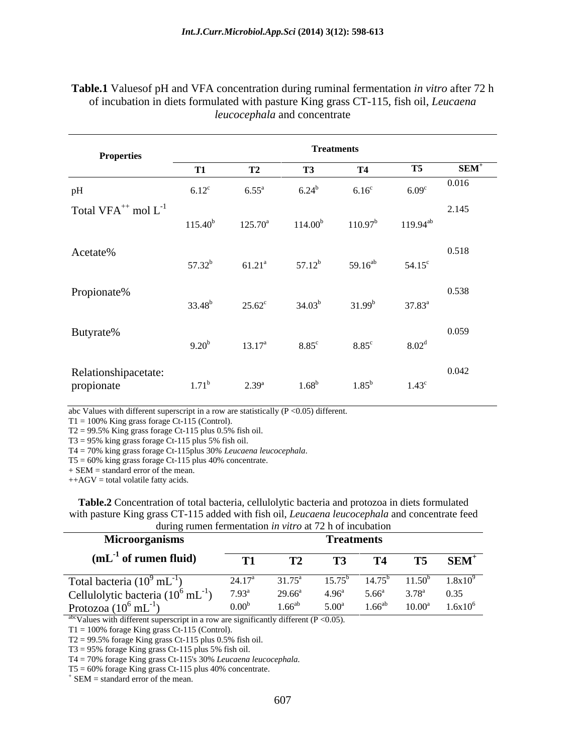| <b>Properties</b>                    | <b>Treatments</b> |                     |                     |                   |                   |               |  |  |
|--------------------------------------|-------------------|---------------------|---------------------|-------------------|-------------------|---------------|--|--|
|                                      | <b>T1</b>         | m                   | T3                  | <b>T4</b>         | <b>T5</b>         | ${\bf SEM}^+$ |  |  |
| pH                                   | $6.12^{\circ}$    | $6.55^{\mathrm{a}}$ | $6.24^{b}$          | 6.16 <sup>c</sup> | 6.09 <sup>c</sup> | 0.016         |  |  |
| Total VFA <sup>++</sup> mol $L^{-1}$ | $115.40^{b}$      | $125.70^a$          | 114.00 <sup>b</sup> | $110.97^b$        | $119.94^{ab}$     | 2.145         |  |  |
| Acetate%                             | $57.32^b$         | $61.21^a$           | $57.12^b$           | $59.16^{ab}$      | $54.15^{\circ}$   | 0.518         |  |  |
| Propionate%                          | $33.48^{b}$       | $25.62^{\circ}$     | $34.03^{b}$         | $31.99^{b}$       | $37.83^{\rm a}$   | 0.538         |  |  |
| Butyrate%                            | $9.20^{b}$        | $13.17^{\rm a}$     | $8.85^{\circ}$      | $8.85^{\circ}$    | 8.02 <sup>d</sup> | 0.059         |  |  |
| Relationshipacetate:<br>propionate   | $1.71^{\rm b}$    | $2.39^{a}$          | $1.68^{b}$          | $1.85^{\rm b}$    | $1.43^{\circ}$    | 0.042         |  |  |

### **Table.1** Valuesof pH and VFA concentration during ruminal fermentation *in vitro* after 72 h of incubation in diets formulated with pasture King grass CT-115, fish oil, *Leucaena leucocephala* and concentrate

abc Values with different superscript in a row are statistically  $(P \le 0.05)$  different.

 $T1 = 100\%$  King grass forage Ct-115 (Control).

 $T2 = 99.5\%$  King grass forage Ct-115 plus 0.5% fish oil.

 $T3 = 95\%$  king grass forage Ct-115 plus 5% fish oil.<br>T4 = 70% king grass forage Ct-115 plus 30% Leucaena leucocephala.

 $T5 = 60\%$  king grass forage Ct-115 plus 40% concentrate.

+ SEM = standard error of the mean.

 $++AGV =$  total volatile fatty acids.

**Table.2** Concentration of total bacteria, cellulolytic bacteria and protozoa in diets formulated with pasture King grass CT-115 added with fish oil, *Leucaena leucocephala* and concentrate feed during rumen fermentation *in vitro* at 72 h of incubation

| $\alpha$ and $\alpha$ and $\alpha$ and $\alpha$ and $\alpha$ and $\alpha$ and $\alpha$ and $\alpha$ and $\alpha$ and $\alpha$ and $\alpha$ and $\alpha$ and $\alpha$ and $\alpha$ and $\alpha$ and $\alpha$ and $\alpha$ and $\alpha$ and $\alpha$ and $\alpha$ and $\alpha$ and $\alpha$ and $\alpha$ and $\alpha$ and $\alpha$ |                   |                 |                   |                   |                 |                  |
|----------------------------------------------------------------------------------------------------------------------------------------------------------------------------------------------------------------------------------------------------------------------------------------------------------------------------------|-------------------|-----------------|-------------------|-------------------|-----------------|------------------|
| <b>Microorganisms</b>                                                                                                                                                                                                                                                                                                            | <b>Freatments</b> |                 |                   |                   |                 |                  |
| $(mL-1$ of rumen fluid)                                                                                                                                                                                                                                                                                                          | <b>COMPANY</b>    | ⊥ ∠             |                   |                   |                 | SEM <sup>+</sup> |
| Total bacteria $(10^9 \text{ mL}^{-1})$                                                                                                                                                                                                                                                                                          | $24.17^{\circ}$   | $31.75^{\circ}$ | $5.75^{\circ}$    |                   | 1 50'           | 1.8x10           |
| Cellulolytic bacteria $(10^6 \text{ mL}^{-1})$                                                                                                                                                                                                                                                                                   | $7.93^{8}$        | $29.66^{\circ}$ | $1 \Omega_6$ a    | ና 66 <sup>a</sup> | 2 7 Q a         | 0.35             |
| Protozoa $(10^6 \text{ mL}^{-1})$                                                                                                                                                                                                                                                                                                | $0.00^{\circ}$    | 1.66 $\rm^{ab}$ | 5.00 <sup>a</sup> | $66^{ab}$         | $10.00^{\rm a}$ | $1.6x10^{6}$     |

<sup>abc</sup>Values with different superscript in a row are significantly different ( $P < 0.05$ ).

 $T1 = 100\%$  forage King grass Ct-115 (Control).

 $T2 = 99.5\%$  forage King grass Ct-115 plus 0.5% fish oil.

T3 = 95% forage King grass Ct-115 plus 5% fish oil.<br>T4 = 70% forage King grass Ct-115's 30% *Leucaena leucocephala*. T4 = 70% forage King grass Ct-115's 30% *Leucaena leucocephala*.<br>T5 = 60% forage King grass Ct-115 plus 40% concentrate.<br>+ SEM = standard grass of the maan.

 $*$  SEM = standard error of the mean.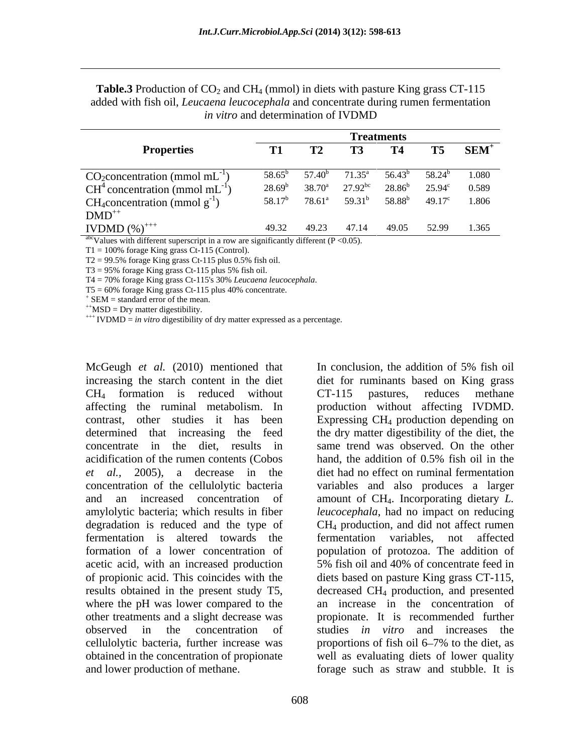|                                                | <b>Treatments</b> |                    |                    |                    |                 |            |
|------------------------------------------------|-------------------|--------------------|--------------------|--------------------|-----------------|------------|
| <b>Properties</b>                              |                   |                    |                    |                    | Т5              | <b>SEM</b> |
| $CO_2$ concentration (mmol mL                  | $58.65^{\circ}$   | 57.40 <sup>b</sup> | $71.35^{\circ}$    | 56.43 <sup>°</sup> | $58.24^b$       | 1.080      |
| $CH4$ concentration (mmol mL <sup>-1</sup>     | $28.69^b$         | $38.70^{\rm a}$    | $27.92^{bc}$       | $28.86^{b}$        | $25.94^{\circ}$ | 0.589      |
| CH <sub>4</sub> concentration (mmol $g^{-1}$ ) | $58.17^{b}$       | $78.61^{\rm a}$    | 59.31 <sup>b</sup> | $58.88^{b}$        | $49.17^{\circ}$ | 1.806      |
| $DMD^{++}$                                     |                   |                    |                    |                    |                 |            |
| <b>IVDMD</b> $(\%)^{++}$                       | 49.32             | 49.23              | 47.14              | - 49.05            | 52.99           | 1.365      |

**Table.3** Production of  $CO_2$  and  $CH_4$  (mmol) in diets with pasture King grass CT-115 added with fish oil, *Leucaena leucocephala* and concentrate during rumen fermentation *in vitro* and determination of IVDMD

 $a^{abc}$ Values with different superscript in a row are significantly different (P < 0.05).

 $T1 = 100\%$  forage King grass Ct-115 (Control).

 $T2 = 99.5\%$  forage King grass Ct-115 plus 0.5% fish oil.

 $T3 = 95\%$  forage King grass Ct-115 plus 5% fish oil.

T4 = 70% forage King grass Ct-115's 30% *Leucaena leucocephala*.<br>T5 = 60% forage King grass Ct-115 plus 40% concentrate.<br>+ SEM = standard grass Ct-115 plus 40% concentrate.

+ SEM = standard error of the mean.<br>++MSD = Dry matter digestibility.<br>+++ IVDMD = *in vitro* digestibility of dry matter expressed as a percentage.

increasing the starch content in the diet CH<sub>4</sub> formation is reduced without CT-115 pastures, reduces methane affecting the ruminal metabolism. In production without affecting IVDMD. contrast, other studies it has been Expressing CH4 production depending on determined that increasing the feed the dry matter digestibility of the diet, the concentrate in the diet, results in same trend was observed. On the other acidification of the rumen contents (Cobos hand, the addition of 0.5% fish oil in the *et al.,* 2005), a decrease in the diet had no effect on ruminal fermentation concentration of the cellulolytic bacteria variables and also produces a larger and an increased concentration of amount of CH4. Incorporating dietary *L.*  amylolytic bacteria; which results in fiber *leucocephala*, had no impact on reducing degradation is reduced and the type of CH4 production, and did not affect rumen fermentation is altered towards the formation of a lower concentration of population of protozoa. The addition of acetic acid, with an increased production 5% fish oil and 40% of concentrate feed in of propionic acid. This coincides with the diets based on pasture King grass CT-115, results obtained in the present study T5, where the pH was lower compared to the other treatments and a slight decrease was observed in the concentration of studies *in vitro* and increases the cellulolytic bacteria, further increase was proportions of fish oil 6–7% to the diet, as obtained in the concentration of propionate well as evaluating diets of lower quality and lower production of methane. forage such as straw and stubble. It is

McGeugh *et al.* (2010) mentioned that In conclusion, the addition of 5% fish oil diet for ruminants based on King grass CT-115 pastures, reduces methane hand, the addition of 0.5% fish oil in the fermentation variables, not affected 5% fish oil and 40% of concentrate feed in decreased CH4 production, and presented an increase in the concentration of propionate. It is recommended further proportions of fish oil 6–7% to the diet, as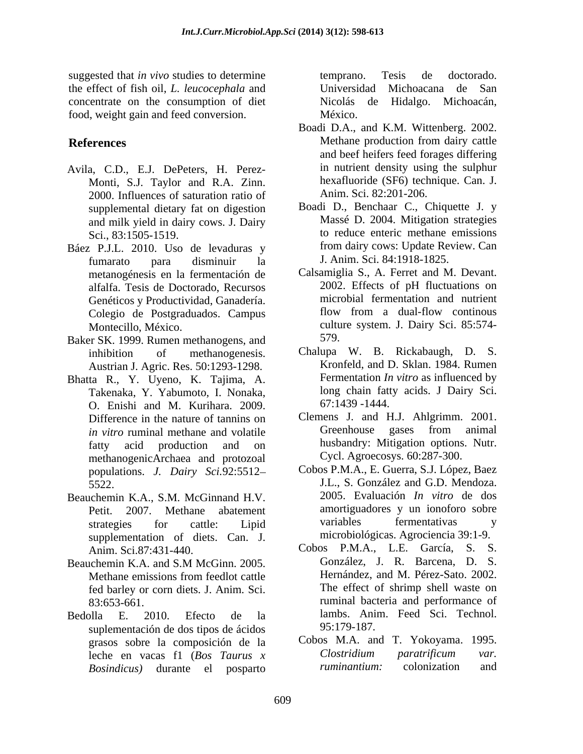suggested that *in vivo* studies to determine temprano. Tesis de doctorado. the effect of fish oil,*L. leucocephala* and concentrate on the consumption of diet food, weight gain and feed conversion.

- Avila, C.D., E.J. DePeters, H. Perez- Monti, S.J. Taylor and R.A. Zinn. 2000. Influences of saturation ratio of supplemental dietary fat on digestion and milk yield in dairy cows. J. Dairy
- fumarato para disminuir la metanogénesis en la fermentación de alfalfa. Tesis de Doctorado, Recursos Colegio de Postgraduados. Campus
- Baker SK. 1999. Rumen methanogens, and 579.<br>
inhibition of methanogenesis Chalupa W. B. Rickabaugh. D. S. Austrian J. Agric. Res. 50:1293-1298.
- Bhatta R., Y. Uyeno, K. Tajima, A. Takenaka, Y. Yabumoto, I. Nonaka, O. Enishi and M. Kurihara. 2009. methanogenicArchaea and protozoal populations. *J. Dairy Sci.*92:5512
- Beauchemin K.A., S.M. McGinnand H.V. supplementation of diets. Can. J.
- Beauchemin K.A. and S.M McGinn. 2005. González, J. R. Barcena, D. S. fed barley or corn diets. J. Anim. Sci.
- Bedolla E. 2010. Efecto de la suplementación de dos tipos de ácidos  $95:179-187$ . *Bosindicus)* durante el posparto

temprano. Tesis de doctorado. Universidad Michoacana de San Nicolás de Hidalgo. Michoacán, México.

- **References** Methane production from dairy cattle Boadi D.A., and K.M. Wittenberg. 2002. and beef heifers feed forages differing in nutrient density using the sulphur hexafluoride (SF6) technique. Can. J. Anim. Sci. 82:201-206.
- Sci., 83:1505-1519. to reduce enteric methane emissions Báez P.J.L. 2010. Uso de levaduras y from dairy cows: Update Review. Can Boadi D., Benchaar C., Chiquette J. y Massé D. 2004. Mitigation strategies from dairy cows: Update Review. Can J. Anim. Sci. 84:1918-1825.
	- Genéticos y Productividad, Ganadería. Tementation and nutrient cologie de Postoraduados Campus flow from a dual-flow continuous Montecillo, México. culture system. J. Dairy Sci. 85:574- Calsamiglia S., A. Ferret and M. Devant. 2002. Effects of pH fluctuations on microbial fermentation and nutrient flow from a dual-flow continous 579.
	- inhibition of methanogenesis. Chalupa W. B. Rickabaugh, D. S. Kronfeld, and D. Sklan. 1984. Rumen Fermentation *In vitro* as influenced by long chain fatty acids. J Dairy Sci. 67:1439 -1444.
	- Difference in the nature of tannins on Clemens J. and H.J. Ahlgrimm. 2001. *in vitro* ruminal methane and volatile **C**reenhouse gases from animal fatty acid production and on husbandry: Mitigation options. Nutr. Greenhouse gases from animal Cycl. Agroecosys. 60:287-300.
	- 5522. J.L., S. González and G.D. Mendoza. Petit. 2007. Methane abatement amortiguadores y un ionoforo sobre strategies for cattle: Lipid Cobos P.M.A., E. Guerra, S.J. López, Baez 2005. Evaluación *In vitro* de dos variables fermentativas y microbiológicas. Agrociencia 39:1-9.
	- Anim. Sci.87:431-440. Cobos P.M.A., L.E. García, S. S. Methane emissions from feedlot cattle **Hernandez**, and M. Pérez-Sato. 2002. 83:653-661. ruminal bacteria and performance of González, J. R. Barcena, D. S. Hernández, and M. Pérez-Sato. 2002. The effect of shrimp shell waste on lambs. Anim. Feed Sci. Technol. 95:179-187.
	- grasos sobre la composición de la Cobos M.A. and T. Yokoyama. 1995.<br>Leche en vacas fl (*Ros Taurus x* Clostridium paratrificum var. leche en vacas f1 (*Bos Taurus x* Cobos M.A. and T. Yokoyama. 1995. *Clostridium paratrificum var. ruminantium:* colonization and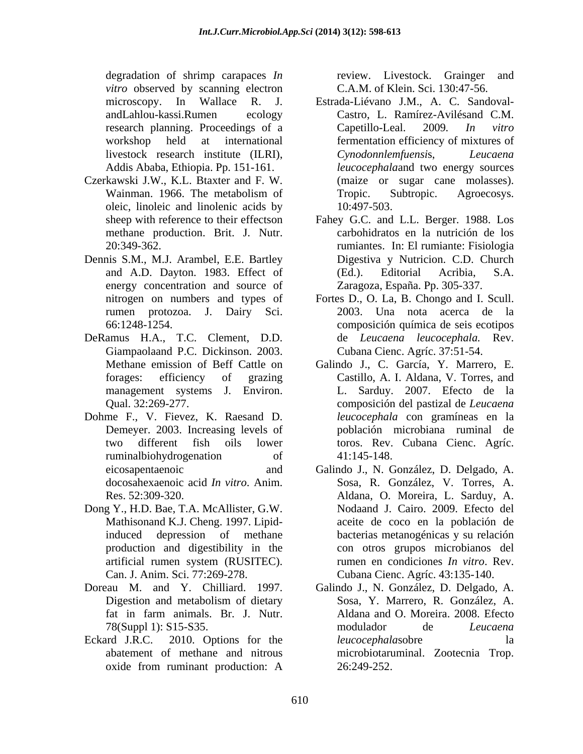degradation of shrimp carapaces *In*  review. Livestock. Grainger and *vitro* observed by scanning electron

- Czerkawski J.W., K.L.Btaxter and F. W. oleic, linoleic and linolenic acids by  $10:497-503$ . methane production. Brit. J. Nutr.
- Dennis S.M., M.J. Arambel, E.E. Bartley energy concentration and source of
- DeRamus H.A., T.C. Clement, D.D. Giampaolaand P.C. Dickinson. 2003.
- Dohme F., V. Fievez, K. Raesand D.
- Dong Y., H.D. Bae, T.A. McAllister, G.W. Mathisonand K.J. Cheng. 1997. Lipid-
- 
- 

C.A.M. of Klein. Sci. 130:47-56.

- microscopy. In Wallace R. J. Estrada-Liévano J.M., A. C. Sandoval andLahlou-kassi.Rumen ecology Castro, L. Ramírez-Avilésand C.M. research planning. Proceedings of a Capetillo-Leal. 2009. In vitro workshop held at international fermentation efficiency of mixtures of livestock research institute (ILRI), Addis Ababa, Ethiopia. Pp. 151-161. *leucocephala*and two energy sources Wainman. 1966. The metabolism of Tropic. Subtropic. Agroecosys. Capetillo-Leal. 2009*. In vitro Cynodonnlemfuensi*s, *Leucaena* (maize or sugar cane molasses). Tropic. Subtropic. Agroecosys. 10:497-503.
- sheep with reference to their effectson Fahey G.C. and L.L. Berger. 1988. Los 20:349-362. rumiantes. In: El rumiante: Fisiologia and A.D. Dayton. 1983. Effect of carbohidratos en la nutrición de los Digestiva y Nutricion. C.D. Church (Ed.). Editorial Acribia, S.A. Zaragoza, España. Pp. 305-337.
- nitrogen on numbers and types of Fortes D., O. La, B. Chongo and I. Scull. rumen protozoa. J. Dairy Sci. 2003. Una nota acerca de la 66:1248-1254. composición química de seis ecotipos de *Leucaena leucocephala.* Rev. Cubana Cienc. Agríc. 37:51-54.
- Methane emission of Beff Cattle on Galindo J., C. García, Y. Marrero, E. forages: efficiency of grazing Castillo, A. I. Aldana, V. Torres, and management systems J. Environ. L. Sarduy. 2007. Efecto de la Qual. 32:269-277. composición del pastizal de *Leucaena* Demeyer. 2003. Increasing levels of población microbiana ruminal de two different fish oils lower toros. Rev. Cubana Cienc. Agríc. ruminalbiohydrogenation of 41:145-148. *leucocephala* con gramíneas en la 41:145-148.
- eicosapentaenoic and Galindo J., N. González, D. Delgado, A. docosahexaenoic acid *In vitro*. Anim. Sosa, R. González, V. Torres, A. Res. 52:309-320. Aldana, O. Moreira, L. Sarduy, A. induced depression of methane bacterias metanogénicas y su relación production and digestibility in the con otros grupos microbianos del artificial rumen system (RUSITEC). Tumen en condiciones *In vitro*. Rev. Can. J. Anim. Sci. 77:269-278. Cubana Cienc. Agríc. 43:135-140. Nodaand J. Cairo. 2009. Efecto del aceite de coco en la población de rumen en condiciones *In vitro*. Rev.
- Doreau M. and Y. Chilliard. 1997. Galindo J., N. González, D. Delgado, A. Digestion and metabolism of dietary Sosa, Y. Marrero, R. González, A. fat in farm animals. Br. J. Nutr. 78(Suppl 1): S15-S35. Eckard J.R.C. 2010. Options for the *leucocephalasobre* la abatement of methane and nitrous microbiotaruminal. Zootecnia Trop. oxide from ruminant production: A Sosa, Y. Marrero, R. González, A. Aldana and O. Moreira. 2008. Efecto modulador de *Leucaena leucocephala*sobre la 26:249-252.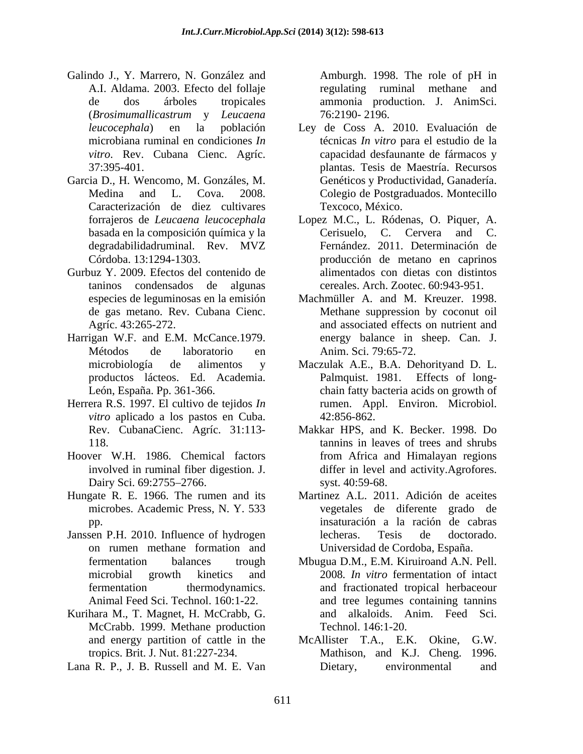- Galindo J., Y. Marrero, N. González and Amburgh. 1998. The role of pH in A.I. Aldama. 2003. Efecto del follaje regulating ruminal methane and de dos árboles tropicales ammonia production. J. AnimSci. (*Brosimumallicastrum* y *Leucaena*
- Garcia D., H. Wencomo, M. Gonzáles, M. Caracterización de diez cultivares degradabilidadruminal. Rev. MVZ
- Gurbuz Y. 2009. Efectos del contenido de
- Harrigan W.F. and E.M. McCance.1979.
- Herrera R.S. 1997. El cultivo de tejidos *In vitro* aplicado a los pastos en Cuba. 42:856-862. Rev. CubanaCienc. Agríc. 31:113-
- Hoover W.H. 1986. Chemical factors
- Hungate R. E. 1966. The rumen and its Martinez A.L. 2011. Adición de aceites
- Janssen P.H. 2010. Influence of hydrogen
- Kurihara M., T. Magnet, H. McCrabb, G. McCrabb. 1999. Methane production
- 

Amburgh. 1998. The role of pH in 76:2190- 2196.

- *leucocephala*) en la población Ley de Coss A. 2010. Evaluación de microbiana ruminal en condiciones *In*  técnicas *In vitro* para el estudio de la vitro. Rev. Cubana Cienc. Agríc. capacidad desfaunante de fármacos y 37:395-401. plantas. Tesis de Maestría. Recursos Medina and L. Cova. 2008. Colegio de Postgraduados. Montecillo Genéticos y Productividad, Ganadería. Texcoco, México.
- forrajeros de *Leucaena leucocephala*  Lopez M.C., L. Ródenas, O. Piquer, A. basada en la composición química y la Cerisuelo, C. Cervera and C. Córdoba. 13:1294-1303. producción de metano en caprinos taninos condensados de algunas cereales. Arch. Zootec. 60:943-951. Cerisuelo, C. Cervera and Fernández. 2011. Determinación de alimentados con dietas con distintos
- especies de leguminosas en la emisión Machmüller A. and M. Kreuzer. 1998. de gas metano. Rev. Cubana Cienc. Methane suppression by coconut oil Agríc. 43:265-272. and associated effects on nutrient and Métodos de laboratorio en energy balance in sheep. Can. J. Anim. Sci. 79:65-72.
- microbiología de alimentos y Maczulak A.E., B.A. Dehorityand D. L. productos lácteos. Ed. Academia. Palmquist. 1981. Effects of long- León, España. Pp. 361-366. chain fatty bacteria acids on growth of rumen. Appl. Environ. Microbiol. 42:856-862.
- 118. tannins in leaves of trees and shrubs involved in ruminal fiber digestion. J. differ in level and activity.Agrofores. Dairy Sci. 69:2755–2766. syst. 40:59-68. Makkar HPS, and K. Becker. 1998. Do from Africa and Himalayan regions syst. 40:59-68.
- microbes. Academic Press, N. Y. 533 vegetales de diferente grado de pp. insaturación a la ración de cabras on rumen methane formation and Universidad de Cordoba, España. lecheras. Tesis de doctorado.
- fermentation balances trough Mbugua D.M., E.M. Kiruiroand A.N. Pell. microbial growth kinetics and 2008*. In vitro* fermentation of intact fermentation thermodynamics. and fractionated tropical herbaceour Animal Feed Sci. Technol. 160:1-22. and tree legumes containing tannins and alkaloids. Anim. Feed Sci. Technol. 146:1-20.
- and energy partition of cattle in the McAllister T.A., E.K. Okine, G.W. tropics. Brit. J. Nut. 81:227-234. Mathison, and K.J. Cheng. 1996. Lana R. P., J. B. Russell and M. E. Van Dietary, environmental and McAllister T.A., E.K. Okine, Dietary, environmental and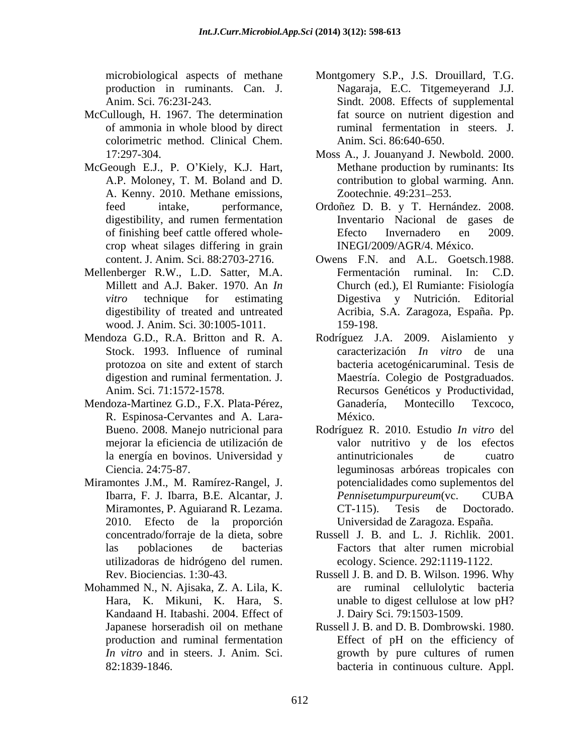- McCullough, H. 1967. The determination of ammonia in whole blood by direct colorimetric method. Clinical Chem.
- McGeough E.J., P. O'Kiely, K.J. Hart,<br>A.P. Moloney, T. M. Boland and D. A. Kenny. 2010. Methane emissions, digestibility, and rumen fermentation crop wheat silages differing in grain
- Mellenberger R.W., L.D. Satter, M.A. wood. J. Anim. Sci. 30:1005-1011.
- 
- Mendoza-Martinez G.D., F.X. Plata-Pérez, R. Espinosa-Cervantes and A. Lara-
- Miramontes J.M., M. Ramírez-Rangel, J. 2010. Efecto de la proporción utilizadoras de hidrógeno del rumen.
- Mohammed N., N. Ajisaka, Z. A. Lila, K. Kandaand H. Itabashi. 2004. Effect of
- microbiological aspects of methane Montgomery S.P., J.S. Drouillard, T.G. production in ruminants. Can. J. Nagaraja, E.C. Titgemeyerand J.J. Anim. Sci. 76:23I-243. Sindt. 2008. Effects of supplemental fat source on nutrient digestion and ruminal fermentation in steers. J. Anim. Sci. 86:640-650.
- 17:297-304. Moss A., J. Jouanyand J. Newbold. 2000. A.P. Moloney, T. M. Boland and D. contribution to global warming. Ann. Methane production by ruminants: Its Zootechnie. 49:231–253.
- feed intake, performance, Ordoñez D. B. y T. Hernández. 2008. of finishing beef cattle offered whole-<br>
Efecto Invernadero en 2009. Inventario Nacional de gases de Efecto Invernadero en 2009. INEGI/2009/AGR/4. México.
- content. J. Anim. Sci. 88:2703-2716. Owens F.N. and A.L. Goetsch.1988. Millett and A.J. Baker. 1970. An *In*  Church (ed.), El Rumiante: Fisiología *vitro* technique for estimating Digestiva y Nutrición. Editorial digestibility of treated and untreated Acribia, S.A. Zaragoza, España. Pp. Fermentación ruminal. In: C.D. 159-198.
- Mendoza G.D., R.A. Britton and R. A. Rodríguez J.A. 2009. Aislamiento y Stock. 1993. Influence of ruminal caracterización *In vitro* de una protozoa on site and extent of starch bacteria acetogénicaruminal. Tesis de digestion and ruminal fermentation. J. Maestría. Colegio de Postgraduados. Anim. Sci. 71:1572-1578. Recursos Genéticos y Productividad, Ganadería, Montecillo Texcoco, México.
	- Bueno. 2008. Manejo nutricional para Rodríguez R. 2010. Estudio *In vitro* del mejorar la eficiencia de utilización de valor nutritivo y de los efectos la energía en bovinos. Universidad y antinutricionales de cuatro Ciencia. 24:75-87. leguminosas arbóreas tropicales con Ibarra, F. J. Ibarra, B.E. Alcantar, J. Miramontes, P. Aguiarand R. Lezama. CT-115). Tesis de Doctorado. antinutricionales de cuatro potencialidades como suplementos del *Pennisetumpurpureum*(vc. CUBA CT-115). Tesis de Doctorado. Universidad de Zaragoza. España.
	- concentrado/forraje de la dieta, sobre Russell J. B. and L. J. Richlik. 2001. las poblaciones de bacterias Factors that alter rumen microbial ecology. Science. 292:1119-1122.
	- Rev. Biociencias. 1:30-43. Russell J. B. and D. B. Wilson. 1996. Why Hara, K. Mikuni, K. Hara, S. unable to digest cellulose at low pH? ruminal cellulolytic bacteria J. Dairy Sci. 79:1503-1509.
	- Japanese horseradish oil on methane Russell J. B. and D. B. Dombrowski. 1980. production and ruminal fermentation Effect of pH on the efficiency of *In vitro* and in steers. J. Anim. Sci. growth by pure cultures of rumen 82:1839-1846. bacteria in continuous culture. Appl.